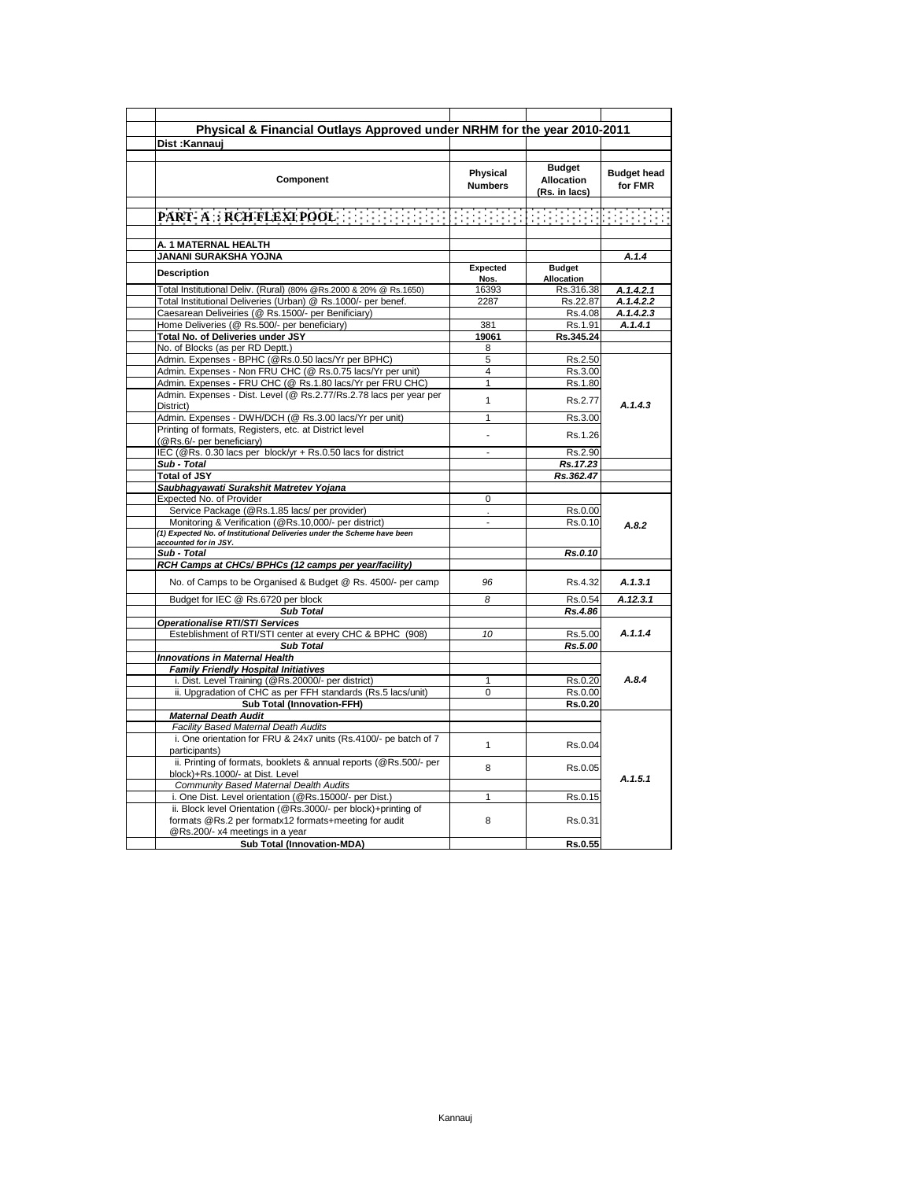| Physical & Financial Outlays Approved under NRHM for the year 2010-2011                                                                      |                                   |                                              |                               |
|----------------------------------------------------------------------------------------------------------------------------------------------|-----------------------------------|----------------------------------------------|-------------------------------|
| Dist :Kannaui                                                                                                                                |                                   |                                              |                               |
| Component                                                                                                                                    | <b>Physical</b><br><b>Numbers</b> | <b>Budget</b><br>Allocation<br>(Rs. in lacs) | <b>Budget head</b><br>for FMR |
|                                                                                                                                              |                                   |                                              |                               |
| A. 1 MATERNAL HEALTH                                                                                                                         |                                   |                                              |                               |
| JANANI SURAKSHA YOJNA<br><b>Description</b>                                                                                                  | Expected<br>Nos.                  | <b>Budget</b><br>Allocation                  | A.1.4                         |
| Total Institutional Deliv. (Rural) (80% @Rs.2000 & 20% @ Rs.1650)                                                                            | 16393                             | Rs.316.38                                    | A.1.4.2.1                     |
| Total Institutional Deliveries (Urban) @ Rs.1000/- per benef.                                                                                | 2287                              | Rs.22.87                                     | A.1.4.2.2                     |
| Caesarean Deliveiries (@ Rs.1500/- per Benificiary)                                                                                          |                                   | Rs.4.08                                      | A.1.4.2.3                     |
| Home Deliveries (@ Rs.500/- per beneficiary)                                                                                                 | 381                               | Rs.1.91                                      | A.1.4.1                       |
| Total No. of Deliveries under JSY                                                                                                            | 19061                             | Rs.345.24                                    |                               |
| No. of Blocks (as per RD Deptt.)                                                                                                             | 8                                 |                                              |                               |
| Admin. Expenses - BPHC (@Rs.0.50 lacs/Yr per BPHC)                                                                                           | 5                                 | Rs.2.50                                      |                               |
| Admin. Expenses - Non FRU CHC (@ Rs.0.75 lacs/Yr per unit)                                                                                   | $\overline{4}$<br>$\mathbf{1}$    | Rs.3.00                                      |                               |
| Admin. Expenses - FRU CHC (@ Rs.1.80 lacs/Yr per FRU CHC)<br>Admin. Expenses - Dist. Level (@ Rs.2.77/Rs.2.78 lacs per year per<br>District) | $\mathbf{1}$                      | Rs.1.80<br>Rs.2.77                           | A.1.4.3                       |
| Admin. Expenses - DWH/DCH (@ Rs.3.00 lacs/Yr per unit)                                                                                       | 1                                 | Rs.3.00                                      |                               |
| Printing of formats, Registers, etc. at District level<br>(@Rs.6/- per beneficiary)                                                          |                                   | Rs.1.26                                      |                               |
| IEC (@Rs. 0.30 lacs per block/yr + Rs.0.50 lacs for district                                                                                 |                                   | Rs.2.90                                      |                               |
| Sub - Total                                                                                                                                  |                                   | Rs.17.23                                     |                               |
| <b>Total of JSY</b>                                                                                                                          |                                   | Rs.362.47                                    |                               |
| Saubhagyawati Surakshit Matretev Yojana                                                                                                      |                                   |                                              |                               |
| Expected No. of Provider                                                                                                                     | 0                                 |                                              |                               |
| Service Package (@Rs.1.85 lacs/ per provider)                                                                                                |                                   | Rs.0.00                                      |                               |
| Monitoring & Verification (@Rs.10,000/- per district)                                                                                        |                                   | Rs.0.10                                      | A.8.2                         |
| (1) Expected No. of Institutional Deliveries under the Scheme have been                                                                      |                                   |                                              |                               |
| accounted for in JSY.                                                                                                                        |                                   |                                              |                               |
| Sub - Total                                                                                                                                  |                                   | Rs.0.10                                      |                               |
| RCH Camps at CHCs/ BPHCs (12 camps per year/facility)                                                                                        |                                   |                                              |                               |
| No. of Camps to be Organised & Budget @ Rs. 4500/- per camp                                                                                  | 96                                | Rs.4.32                                      | A.1.3.1                       |
| Budget for IEC @ Rs.6720 per block                                                                                                           | 8                                 | Rs.0.54                                      | A.12.3.1                      |
| <b>Sub Total</b>                                                                                                                             |                                   | Rs.4.86                                      |                               |
| <b>Operationalise RTI/STI Services</b><br>Esteblishment of RTI/STI center at every CHC & BPHC (908)                                          | 10                                | Rs.5.00                                      | A.1.1.4                       |
| Sub Total                                                                                                                                    |                                   | Rs.5.00                                      |                               |
| <b>Innovations in Maternal Health</b>                                                                                                        |                                   |                                              |                               |
| <b>Family Friendly Hospital Initiatives</b>                                                                                                  |                                   |                                              |                               |
| i. Dist. Level Training (@Rs.20000/- per district)                                                                                           | $\mathbf{1}$                      | Rs.0.20                                      | A.8.4                         |
| ii. Upgradation of CHC as per FFH standards (Rs.5 lacs/unit)                                                                                 | 0                                 | Rs.0.00                                      |                               |
| Sub Total (Innovation-FFH)                                                                                                                   |                                   | Rs.0.20                                      |                               |
| <b>Maternal Death Audit</b>                                                                                                                  |                                   |                                              |                               |
| <b>Facility Based Maternal Death Audits</b>                                                                                                  |                                   |                                              |                               |
| i. One orientation for FRU & 24x7 units (Rs.4100/- pe batch of 7<br>participants)                                                            | $\mathbf{1}$                      | Rs.0.04                                      |                               |
| ii. Printing of formats, booklets & annual reports (@Rs.500/- per<br>block)+Rs.1000/- at Dist. Level                                         | 8                                 | Rs.0.05                                      | A.1.5.1                       |
| Community Based Maternal Dealth Audits                                                                                                       |                                   |                                              |                               |
| i. One Dist. Level orientation (@Rs.15000/- per Dist.)<br>ii. Block level Orientation (@Rs.3000/- per block)+printing of                     | $\mathbf{1}$                      | Rs.0.15                                      |                               |
| formats @Rs.2 per formatx12 formats+meeting for audit<br>@Rs.200/- x4 meetings in a year                                                     | 8                                 | Rs.0.31                                      |                               |
| Sub Total (Innovation-MDA)                                                                                                                   |                                   | Rs.0.55                                      |                               |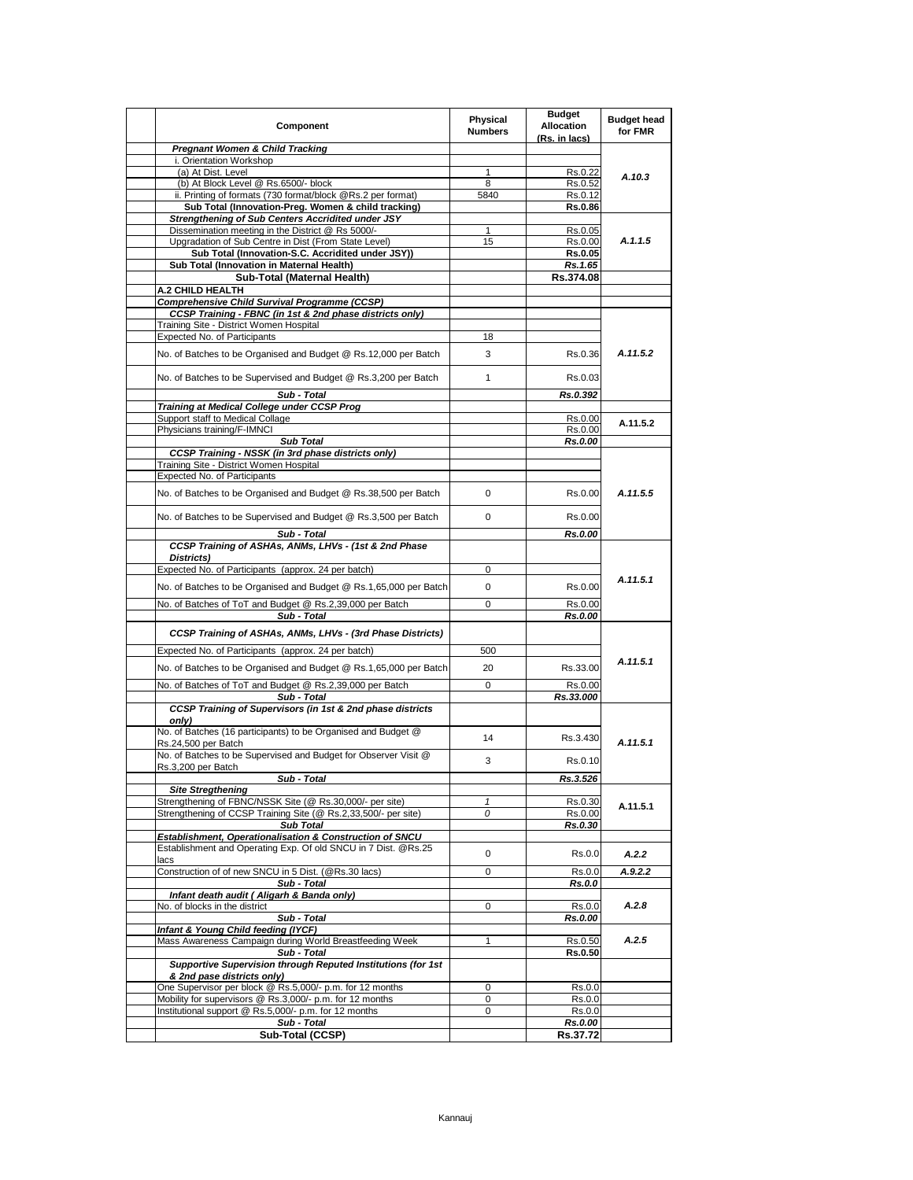| Component                                                                                                 | Physical<br><b>Numbers</b> | <b>Budget</b><br><b>Allocation</b><br>(Rs. in lacs) | <b>Budget head</b><br>for FMR |
|-----------------------------------------------------------------------------------------------------------|----------------------------|-----------------------------------------------------|-------------------------------|
| <b>Pregnant Women &amp; Child Tracking</b>                                                                |                            |                                                     |                               |
| i. Orientation Workshop                                                                                   |                            |                                                     |                               |
| (a) At Dist. Level<br>(b) At Block Level @ Rs.6500/- block                                                | $\mathbf{1}$<br>8          | Rs.0.22                                             | A.10.3                        |
| ii. Printing of formats (730 format/block @Rs.2 per format)                                               | 5840                       | Rs.0.52<br>Rs.0.12                                  |                               |
| Sub Total (Innovation-Preg. Women & child tracking)                                                       |                            | Rs.0.86                                             |                               |
| Strengthening of Sub Centers Accridited under JSY                                                         |                            |                                                     |                               |
| Dissemination meeting in the District @ Rs 5000/-                                                         | 1                          | Rs.0.05                                             |                               |
| Upgradation of Sub Centre in Dist (From State Level)                                                      | 15                         | Rs.0.00                                             | A.1.1.5                       |
| Sub Total (Innovation-S.C. Accridited under JSY))                                                         |                            | Rs.0.05                                             |                               |
| Sub Total (Innovation in Maternal Health)                                                                 |                            | Rs.1.65                                             |                               |
| Sub-Total (Maternal Health)                                                                               |                            | Rs.374.08                                           |                               |
| <b>A.2 CHILD HEALTH</b>                                                                                   |                            |                                                     |                               |
| Comprehensive Child Survival Programme (CCSP)<br>CCSP Training - FBNC (in 1st & 2nd phase districts only) |                            |                                                     |                               |
| Training Site - District Women Hospital                                                                   |                            |                                                     |                               |
| Expected No. of Participants                                                                              | 18                         |                                                     |                               |
| No. of Batches to be Organised and Budget @ Rs.12,000 per Batch                                           | 3                          | Rs.0.36                                             | A.11.5.2                      |
| No. of Batches to be Supervised and Budget @ Rs.3,200 per Batch                                           | 1                          | Rs.0.03                                             |                               |
| Sub - Total                                                                                               |                            | Rs.0.392                                            |                               |
| Training at Medical College under CCSP Prog                                                               |                            |                                                     |                               |
| Support staff to Medical Collage                                                                          |                            | Rs.0.00                                             | A.11.5.2                      |
| Physicians training/F-IMNCI                                                                               |                            | Rs.0.00                                             |                               |
| <b>Sub Total</b>                                                                                          |                            | Rs.0.00                                             |                               |
| CCSP Training - NSSK (in 3rd phase districts only)                                                        |                            |                                                     |                               |
| Training Site - District Women Hospital<br>Expected No. of Participants                                   |                            |                                                     |                               |
|                                                                                                           |                            |                                                     |                               |
| No. of Batches to be Organised and Budget @ Rs.38,500 per Batch                                           | 0                          | Rs.0.00                                             | A.11.5.5                      |
| No. of Batches to be Supervised and Budget @ Rs.3,500 per Batch<br>Sub - Total                            | $\mathbf 0$                | Rs.0.00<br>Rs.0.00                                  |                               |
| CCSP Training of ASHAs, ANMs, LHVs - (1st & 2nd Phase                                                     |                            |                                                     |                               |
| Districts)                                                                                                |                            |                                                     |                               |
| Expected No. of Participants (approx. 24 per batch)                                                       | 0                          |                                                     |                               |
| No. of Batches to be Organised and Budget @ Rs.1,65,000 per Batch                                         | $\mathbf 0$                | Rs.0.00                                             | A.11.5.1                      |
|                                                                                                           |                            |                                                     |                               |
| No. of Batches of ToT and Budget @ Rs.2,39,000 per Batch                                                  | 0                          | Rs.0.00                                             |                               |
| Sub - Total                                                                                               |                            | Rs.0.00                                             |                               |
| CCSP Training of ASHAs, ANMs, LHVs - (3rd Phase Districts)                                                |                            |                                                     |                               |
| Expected No. of Participants (approx. 24 per batch)                                                       | 500                        |                                                     |                               |
|                                                                                                           |                            |                                                     | A.11.5.1                      |
| No. of Batches to be Organised and Budget @ Rs.1,65,000 per Batch                                         | 20                         | Rs.33.00                                            |                               |
| No. of Batches of ToT and Budget @ Rs.2,39,000 per Batch                                                  | 0                          | Rs.0.00                                             |                               |
| Sub - Total                                                                                               |                            | Rs.33.000                                           |                               |
| CCSP Training of Supervisors (in 1st & 2nd phase districts<br>only)                                       |                            |                                                     |                               |
| No. of Batches (16 participants) to be Organised and Budget @<br>Rs.24,500 per Batch                      | 14                         | Rs.3.430                                            | A.11.5.1                      |
| No. of Batches to be Supervised and Budget for Observer Visit @<br>Rs.3,200 per Batch                     | 3                          | Rs.0.10                                             |                               |
| Sub - Total                                                                                               |                            | Rs.3.526                                            |                               |
| <b>Site Stregthening</b><br>Strengthening of FBNC/NSSK Site (@ Rs.30,000/- per site)                      | $\mathbf{1}$               | Rs.0.30                                             |                               |
| Strengthening of CCSP Training Site (@ Rs.2,33,500/- per site)                                            | 0                          | Rs.0.00                                             | A.11.5.1                      |
| <b>Sub Total</b>                                                                                          |                            | Rs.0.30                                             |                               |
| Establishment, Operationalisation & Construction of SNCU                                                  |                            |                                                     |                               |
| Establishment and Operating Exp. Of old SNCU in 7 Dist. @Rs.25                                            | 0                          |                                                     |                               |
| lacs                                                                                                      |                            | Rs.0.0                                              | A.2.2                         |
| Construction of of new SNCU in 5 Dist. (@Rs.30 lacs)                                                      | 0                          | Rs.0.0                                              | A.9.2.2                       |
| Sub - Total                                                                                               |                            | Rs.0.0                                              |                               |
| Infant death audit ( Aligarh & Banda only)                                                                |                            |                                                     |                               |
| No. of blocks in the district<br>Sub - Total                                                              | 0                          | Rs.0.0<br>Rs.0.00                                   | A.2.8                         |
| Infant & Young Child feeding (IYCF)                                                                       |                            |                                                     |                               |
| Mass Awareness Campaign during World Breastfeeding Week                                                   | 1                          | Rs.0.50                                             | A.2.5                         |
| Sub - Total                                                                                               |                            | Rs.0.50                                             |                               |
| Supportive Supervision through Reputed Institutions (for 1st                                              |                            |                                                     |                               |
| & 2nd pase districts only)                                                                                |                            |                                                     |                               |
| One Supervisor per block @ Rs.5,000/- p.m. for 12 months                                                  | 0                          | Rs.0.0                                              |                               |
| Mobility for supervisors @ Rs.3,000/- p.m. for 12 months                                                  | 0                          | Rs.0.0                                              |                               |
| Institutional support @ Rs.5,000/- p.m. for 12 months                                                     | 0                          | Rs.0.0                                              |                               |
| Sub - Total                                                                                               |                            | Rs.0.00                                             |                               |
| Sub-Total (CCSP)                                                                                          |                            | Rs.37.72                                            |                               |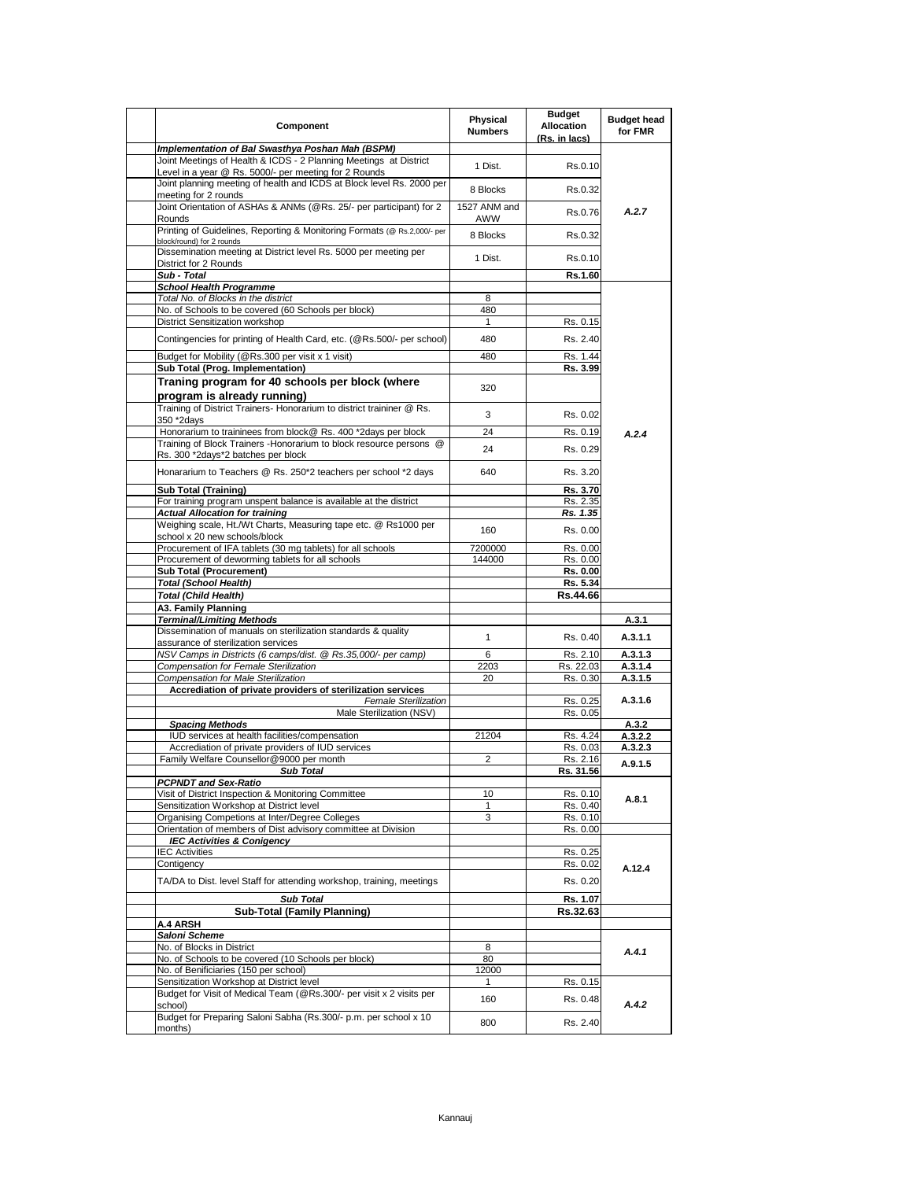| Component                                                                                                                  | Physical<br><b>Numbers</b> | <b>Budget</b><br><b>Allocation</b><br>(Rs. in lacs) | <b>Budget head</b><br>for FMR |
|----------------------------------------------------------------------------------------------------------------------------|----------------------------|-----------------------------------------------------|-------------------------------|
| Implementation of Bal Swasthya Poshan Mah (BSPM)                                                                           |                            |                                                     |                               |
| Joint Meetings of Health & ICDS - 2 Planning Meetings at District<br>Level in a year @ Rs. 5000/- per meeting for 2 Rounds | 1 Dist.                    | Rs.0.10                                             |                               |
| Joint planning meeting of health and ICDS at Block level Rs. 2000 per<br>meeting for 2 rounds                              | 8 Blocks                   | Rs.0.32                                             |                               |
| Joint Orientation of ASHAs & ANMs (@Rs. 25/- per participant) for 2<br>Rounds                                              | 1527 ANM and<br>AWW        | Rs.0.76                                             | A.2.7                         |
| Printing of Guidelines, Reporting & Monitoring Formats (@ Rs.2,000/- per<br>block/round) for 2 rounds                      | 8 Blocks                   | Rs.0.32                                             |                               |
| Dissemination meeting at District level Rs. 5000 per meeting per<br>District for 2 Rounds                                  | 1 Dist.                    | Rs.0.10                                             |                               |
| Sub - Total                                                                                                                |                            | Rs.1.60                                             |                               |
| <b>School Health Programme</b>                                                                                             |                            |                                                     |                               |
| Total No. of Blocks in the district                                                                                        | 8                          |                                                     |                               |
| No. of Schools to be covered (60 Schools per block)<br>District Sensitization workshop                                     | 480<br>$\mathbf{1}$        | Rs. 0.15                                            |                               |
|                                                                                                                            |                            |                                                     |                               |
| Contingencies for printing of Health Card, etc. (@Rs.500/- per school)                                                     | 480                        | Rs. 2.40                                            |                               |
| Budget for Mobility (@Rs.300 per visit x 1 visit)<br>Sub Total (Prog. Implementation)                                      | 480                        | Rs. 1.44<br>Rs. 3.99                                |                               |
| Traning program for 40 schools per block (where<br>program is already running)                                             | 320                        |                                                     |                               |
| Training of District Trainers- Honorarium to district traininer @ Rs.<br>350 *2days                                        | 3                          | Rs. 0.02                                            |                               |
| Honorarium to traininees from block@ Rs. 400 *2days per block                                                              | 24                         | Rs. 0.19                                            | A.2.4                         |
| Training of Block Trainers - Honorarium to block resource persons @<br>Rs. 300 *2days*2 batches per block                  | 24                         | Rs. 0.29                                            |                               |
| Honararium to Teachers @ Rs. 250*2 teachers per school *2 days                                                             | 640                        | Rs. 3.20                                            |                               |
| <b>Sub Total (Training)</b>                                                                                                |                            | Rs. 3.70                                            |                               |
| For training program unspent balance is available at the district                                                          |                            | Rs. 2.35                                            |                               |
| <b>Actual Allocation for training</b>                                                                                      |                            | Rs. 1.35                                            |                               |
| Weighing scale, Ht./Wt Charts, Measuring tape etc. @ Rs1000 per<br>school x 20 new schools/block                           | 160                        | Rs. 0.00                                            |                               |
| Procurement of IFA tablets (30 mg tablets) for all schools                                                                 | 7200000                    | Rs. 0.00                                            |                               |
| Procurement of deworming tablets for all schools                                                                           | 144000                     | Rs. 0.00                                            |                               |
| <b>Sub Total (Procurement)</b>                                                                                             |                            | Rs. 0.00                                            |                               |
| <b>Total (School Health)</b>                                                                                               |                            | Rs. 5.34                                            |                               |
| <b>Total (Child Health)</b>                                                                                                |                            | Rs.44.66                                            |                               |
| A3. Family Planning<br><b>Terminal/Limiting Methods</b>                                                                    |                            |                                                     | A.3.1                         |
| Dissemination of manuals on sterilization standards & quality                                                              | $\mathbf{1}$               | Rs. 0.40                                            | A.3.1.1                       |
| assurance of sterilization services                                                                                        |                            |                                                     |                               |
| NSV Camps in Districts (6 camps/dist. @ Rs.35,000/- per camp)<br>Compensation for Female Sterilization                     | 6<br>2203                  | Rs. 2.10<br>Rs. 22.03                               | A.3.1.3<br>A.3.1.4            |
| Compensation for Male Sterilization                                                                                        | 20                         | Rs. 0.30                                            | A.3.1.5                       |
| Accrediation of private providers of sterilization services                                                                |                            |                                                     |                               |
| <b>Female Sterilization</b>                                                                                                |                            | Rs. 0.25                                            | A.3.1.6                       |
| Male Sterilization (NSV)<br><b>Spacing Methods</b>                                                                         |                            | Rs. 0.05                                            | A.3.2                         |
| IUD services at health facilities/compensation                                                                             | 21204                      | Rs. 4.24                                            | A.3.2.2                       |
| Accrediation of private providers of IUD services                                                                          |                            | Rs. 0.03                                            | A.3.2.3                       |
| Family Welfare Counsellor@9000 per month                                                                                   | 2                          | Rs. 2.16                                            | A.9.1.5                       |
| <b>Sub Total</b>                                                                                                           |                            | Rs. 31.56                                           |                               |
| <b>PCPNDT and Sex-Ratio</b>                                                                                                |                            |                                                     |                               |
| Visit of District Inspection & Monitoring Committee                                                                        | 10                         | Rs. 0.10                                            | A.8.1                         |
| Sensitization Workshop at District level                                                                                   | 1                          | Rs. 0.40                                            |                               |
| Organising Competions at Inter/Degree Colleges<br>Orientation of members of Dist advisory committee at Division            | 3                          | Rs. 0.10<br>Rs. 0.00                                |                               |
| <b>IEC Activities &amp; Conigency</b>                                                                                      |                            |                                                     |                               |
| <b>IEC Activities</b>                                                                                                      |                            | Rs. 0.25                                            |                               |
| Contigency                                                                                                                 |                            | Rs. 0.02                                            |                               |
| TA/DA to Dist. level Staff for attending workshop, training, meetings                                                      |                            | Rs. 0.20                                            | A.12.4                        |
| <b>Sub Total</b>                                                                                                           |                            | Rs. 1.07                                            |                               |
| <b>Sub-Total (Family Planning)</b>                                                                                         |                            | Rs.32.63                                            |                               |
| A.4 ARSH                                                                                                                   |                            |                                                     |                               |
| Saloni Scheme                                                                                                              |                            |                                                     |                               |
| No. of Blocks in District                                                                                                  | 8                          |                                                     | A.4.1                         |
| No. of Schools to be covered (10 Schools per block)                                                                        | 80                         |                                                     |                               |
| No. of Benificiaries (150 per school)                                                                                      | 12000                      |                                                     |                               |
| Sensitization Workshop at District level                                                                                   |                            | Rs. 0.15                                            |                               |
| Budget for Visit of Medical Team (@Rs.300/- per visit x 2 visits per<br>school)                                            | 160                        | Rs. 0.48                                            | A.4.2                         |
| Budget for Preparing Saloni Sabha (Rs.300/- p.m. per school x 10<br>months)                                                | 800                        | Rs. 2.40                                            |                               |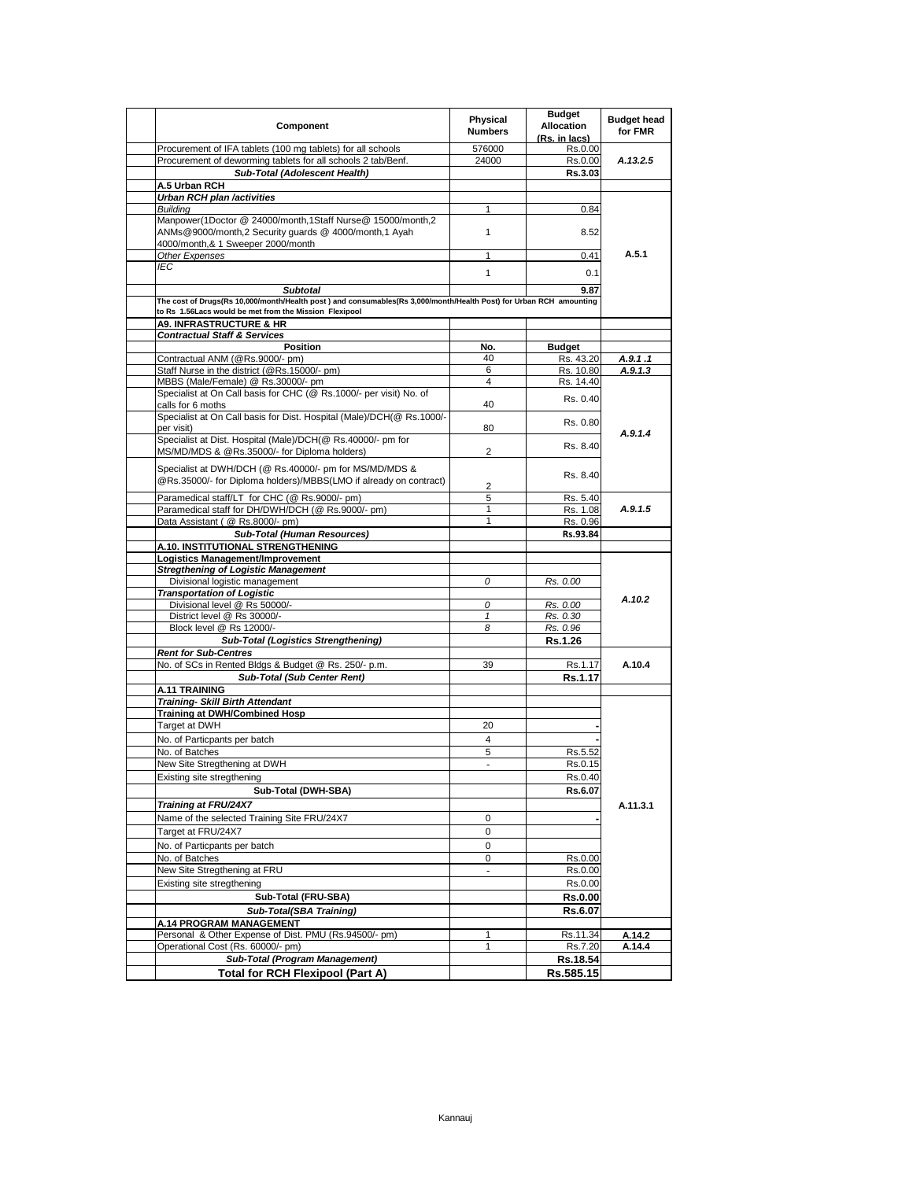| Component                                                                                                                             | Physical<br><b>Numbers</b> | <b>Budget</b><br>Allocation<br>(Rs. in lacs) | <b>Budget head</b><br>for FMR |
|---------------------------------------------------------------------------------------------------------------------------------------|----------------------------|----------------------------------------------|-------------------------------|
| Procurement of IFA tablets (100 mg tablets) for all schools                                                                           | 576000                     | Rs.0.00                                      |                               |
| Procurement of deworming tablets for all schools 2 tab/Benf.                                                                          | 24000                      | Rs.0.00                                      | A.13.2.5                      |
| Sub-Total (Adolescent Health)<br>A.5 Urban RCH                                                                                        |                            | Rs.3.03                                      |                               |
| Urban RCH plan /activities                                                                                                            |                            |                                              |                               |
| Building                                                                                                                              | 1                          | 0.84                                         |                               |
| Manpower(1Doctor @ 24000/month,1Staff Nurse@ 15000/month,2<br>ANMs@9000/month,2 Security quards @ 4000/month,1 Ayah                   | $\mathbf{1}$               | 8.52                                         |                               |
| 4000/month,& 1 Sweeper 2000/month<br>Other Expenses                                                                                   | 1                          | 0.41                                         | A.5.1                         |
| IEC                                                                                                                                   | 1                          | 0.1                                          |                               |
|                                                                                                                                       |                            |                                              |                               |
| <b>Subtotal</b><br>The cost of Drugs(Rs 10,000/month/Health post) and consumables(Rs 3,000/month/Health Post) for Urban RCH amounting |                            | 9.87                                         |                               |
| to Rs 1.56Lacs would be met from the Mission Flexipool                                                                                |                            |                                              |                               |
| <b>A9. INFRASTRUCTURE &amp; HR</b>                                                                                                    |                            |                                              |                               |
| <b>Contractual Staff &amp; Services</b>                                                                                               |                            |                                              |                               |
| <b>Position</b><br>Contractual ANM (@Rs.9000/- pm)                                                                                    | No.<br>40                  | <b>Budget</b><br>Rs. 43.20                   | A.9.1.1                       |
| Staff Nurse in the district (@Rs.15000/- pm)                                                                                          | 6                          | Rs. 10.80                                    | A.9.1.3                       |
| MBBS (Male/Female) @ Rs.30000/- pm                                                                                                    | 4                          | Rs. 14.40                                    |                               |
| Specialist at On Call basis for CHC (@ Rs.1000/- per visit) No. of<br>calls for 6 moths                                               | 40                         | Rs. 0.40                                     |                               |
| Specialist at On Call basis for Dist. Hospital (Male)/DCH(@ Rs.1000/-                                                                 |                            | Rs. 0.80                                     |                               |
| per visit)<br>Specialist at Dist. Hospital (Male)/DCH(@ Rs.40000/- pm for<br>MS/MD/MDS & @Rs.35000/- for Diploma holders)             | 80<br>$\overline{2}$       | Rs. 8.40                                     | A.9.1.4                       |
| Specialist at DWH/DCH (@ Rs.40000/- pm for MS/MD/MDS &                                                                                |                            | Rs. 8.40                                     |                               |
| @Rs.35000/- for Diploma holders)/MBBS(LMO if already on contract)                                                                     | 2                          |                                              |                               |
| Paramedical staff/LT for CHC (@ Rs.9000/- pm)                                                                                         | 5                          | Rs. 5.40                                     |                               |
| Paramedical staff for DH/DWH/DCH (@ Rs.9000/- pm)                                                                                     | 1                          | Rs. 1.08                                     | A.9.1.5                       |
| Data Assistant ( @ Rs.8000/- pm)                                                                                                      | 1                          | Rs. 0.96                                     |                               |
| Sub-Total (Human Resources)                                                                                                           |                            | Rs.93.84                                     |                               |
| A.10. INSTITUTIONAL STRENGTHENING<br>Logistics Management/Improvement                                                                 |                            |                                              |                               |
| <b>Stregthening of Logistic Management</b>                                                                                            |                            |                                              |                               |
| Divisional logistic management                                                                                                        | 0                          | Rs. 0.00                                     |                               |
| <b>Transportation of Logistic</b>                                                                                                     |                            |                                              | A.10.2                        |
| Divisional level @ Rs 50000/-                                                                                                         | 0                          | Rs. 0.00                                     |                               |
| District level @ Rs 30000/-                                                                                                           | $\mathcal I$               | Rs. 0.30                                     |                               |
| Block level @ Rs 12000/-                                                                                                              | 8                          | Rs. 0.96                                     |                               |
| <b>Sub-Total (Logistics Strengthening)</b><br><b>Rent for Sub-Centres</b>                                                             |                            | <b>Rs.1.26</b>                               |                               |
| No. of SCs in Rented Bldgs & Budget @ Rs. 250/- p.m.                                                                                  | 39                         | Rs.1.17                                      | A.10.4                        |
| Sub-Total (Sub Center Rent)                                                                                                           |                            | Rs.1.17                                      |                               |
| <b>A.11 TRAINING</b>                                                                                                                  |                            |                                              |                               |
| <b>Training- Skill Birth Attendant</b>                                                                                                |                            |                                              |                               |
| <b>Training at DWH/Combined Hosp</b>                                                                                                  |                            |                                              |                               |
| Target at DWH                                                                                                                         | 20                         |                                              |                               |
| No. of Particpants per batch                                                                                                          | 4                          |                                              |                               |
| No. of Batches<br>New Site Stregthening at DWH                                                                                        | 5                          | Rs.5.52                                      |                               |
| Existing site stregthening                                                                                                            |                            | Rs.0.15                                      |                               |
| Sub-Total (DWH-SBA)                                                                                                                   |                            | Rs.0.40<br>Rs.6.07                           |                               |
| Training at FRU/24X7                                                                                                                  |                            |                                              |                               |
| Name of the selected Training Site FRU/24X7                                                                                           | 0                          |                                              | A.11.3.1                      |
| Target at FRU/24X7                                                                                                                    | 0                          |                                              |                               |
| No. of Particpants per batch                                                                                                          | 0                          |                                              |                               |
| No. of Batches                                                                                                                        | 0                          | Rs.0.00                                      |                               |
| New Site Stregthening at FRU                                                                                                          |                            | Rs.0.00                                      |                               |
| Existing site stregthening                                                                                                            |                            | Rs.0.00                                      |                               |
| Sub-Total (FRU-SBA)                                                                                                                   |                            | <b>Rs.0.00</b>                               |                               |
| Sub-Total(SBA Training)                                                                                                               |                            | Rs.6.07                                      |                               |
| A.14 PROGRAM MANAGEMENT                                                                                                               |                            |                                              |                               |
| Personal & Other Expense of Dist. PMU (Rs.94500/- pm)                                                                                 | 1                          | Rs.11.34                                     | A.14.2                        |
| Operational Cost (Rs. 60000/- pm)                                                                                                     | 1                          | Rs.7.20                                      | A.14.4                        |
| Sub-Total (Program Management)                                                                                                        |                            | Rs.18.54                                     |                               |
| <b>Total for RCH Flexipool (Part A)</b>                                                                                               |                            | Rs.585.15                                    |                               |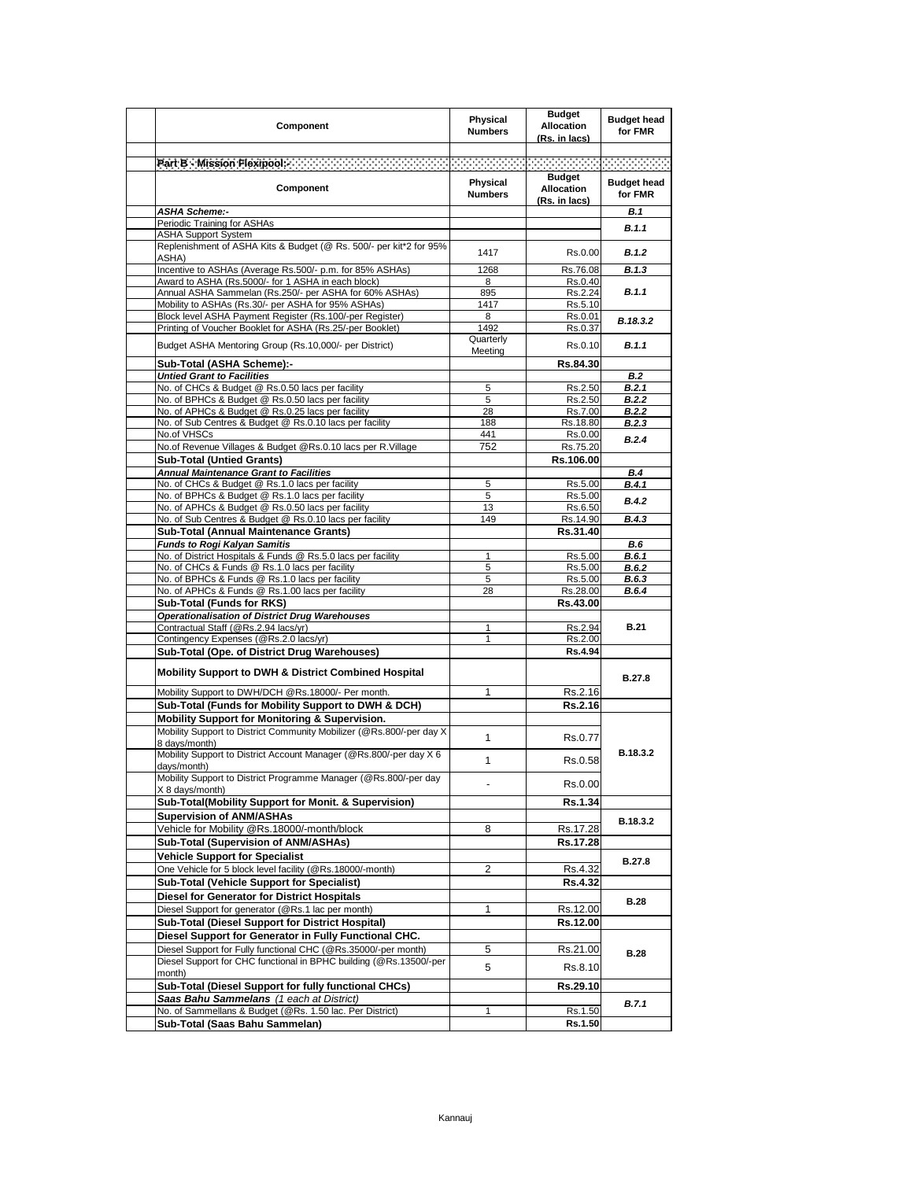| Component                                                                                                                            | <b>Physical</b><br><b>Numbers</b> | <b>Budget</b><br><b>Allocation</b><br>(Rs. in lacs) | <b>Budget head</b><br>for FMR |
|--------------------------------------------------------------------------------------------------------------------------------------|-----------------------------------|-----------------------------------------------------|-------------------------------|
| Patt.B : Mission Flexpools - Contract of Contract of Contract of Contract of Contract of Contract of                                 |                                   |                                                     |                               |
| Component                                                                                                                            | Physical<br><b>Numbers</b>        | <b>Budget</b><br><b>Allocation</b>                  | <b>Budget head</b><br>for FMR |
| <b>ASHA Scheme:-</b>                                                                                                                 |                                   | (Rs. in lacs)                                       | <b>B.1</b>                    |
| Periodic Training for ASHAs                                                                                                          |                                   |                                                     | <b>B.1.1</b>                  |
| <b>ASHA Support System</b><br>Replenishment of ASHA Kits & Budget (@ Rs. 500/- per kit*2 for 95%                                     |                                   |                                                     |                               |
| ASHA)                                                                                                                                | 1417                              | Rs.0.00                                             | B.1.2                         |
| Incentive to ASHAs (Average Rs.500/- p.m. for 85% ASHAs)                                                                             | 1268                              | Rs.76.08                                            | B.1.3                         |
| Award to ASHA (Rs.5000/- for 1 ASHA in each block)                                                                                   | 8                                 | Rs.0.40                                             |                               |
| Annual ASHA Sammelan (Rs.250/- per ASHA for 60% ASHAs)<br>Mobility to ASHAs (Rs.30/- per ASHA for 95% ASHAs)                         | 895<br>1417                       | Rs.2.24<br>Rs.5.10                                  | B.1.1                         |
| Block level ASHA Payment Register (Rs.100/-per Register)                                                                             | 8                                 | Rs.0.01                                             |                               |
| Printing of Voucher Booklet for ASHA (Rs.25/-per Booklet)                                                                            | 1492                              | Rs.0.37                                             | B.18.3.2                      |
| Budget ASHA Mentoring Group (Rs.10,000/- per District)                                                                               | Quarterly<br>Meeting              | Rs.0.10                                             | B.1.1                         |
| Sub-Total (ASHA Scheme):-                                                                                                            |                                   | Rs.84.30                                            |                               |
| <b>Untied Grant to Facilities</b>                                                                                                    | 5                                 | Rs.2.50                                             | <b>B.2</b><br>B.2.1           |
| No. of CHCs & Budget @ Rs.0.50 lacs per facility<br>No. of BPHCs & Budget @ Rs.0.50 lacs per facility                                | 5                                 | Rs.2.50                                             | B.2.2                         |
| No. of APHCs & Budget @ Rs.0.25 lacs per facility                                                                                    | 28                                | Rs.7.00                                             | <b>B.2.2</b>                  |
| No. of Sub Centres & Budget @ Rs.0.10 lacs per facility                                                                              | 188                               | Rs.18.80                                            | B.2.3                         |
| No.of VHSCs                                                                                                                          | 441                               | Rs.0.00                                             | B.2.4                         |
| No.of Revenue Villages & Budget @Rs.0.10 lacs per R.Village                                                                          | 752                               | Rs.75.20                                            |                               |
| <b>Sub-Total (Untied Grants)</b><br><b>Annual Maintenance Grant to Facilities</b>                                                    |                                   | Rs.106.00                                           | <b>B.4</b>                    |
| No. of CHCs & Budget @ Rs.1.0 lacs per facility                                                                                      | 5                                 | Rs.5.00                                             | B.4.1                         |
| No. of BPHCs & Budget @ Rs.1.0 lacs per facility                                                                                     | 5                                 | Rs.5.00                                             | B.4.2                         |
| No. of APHCs & Budget @ Rs.0.50 lacs per facility                                                                                    | 13                                | Rs.6.50                                             |                               |
| No. of Sub Centres & Budget @ Rs.0.10 lacs per facility                                                                              | 149                               | Rs.14.90                                            | B.4.3                         |
| Sub-Total (Annual Maintenance Grants)<br><b>Funds to Rogi Kalyan Samitis</b>                                                         |                                   | Rs.31.40                                            | <b>B.6</b>                    |
| No. of District Hospitals & Funds @ Rs.5.0 lacs per facility                                                                         | 1                                 | Rs.5.00                                             | <b>B.6.1</b>                  |
| No. of CHCs & Funds @ Rs.1.0 lacs per facility                                                                                       | 5                                 | Rs.5.00                                             | B.6.2                         |
| No. of BPHCs & Funds @ Rs.1.0 lacs per facility                                                                                      | 5                                 | Rs.5.00                                             | B.6.3                         |
| No. of APHCs & Funds @ Rs.1.00 lacs per facility                                                                                     | 28                                | Rs.28.00                                            | B.6.4                         |
| Sub-Total (Funds for RKS)<br><b>Operationalisation of District Drug Warehouses</b>                                                   |                                   | Rs.43.00                                            |                               |
| Contractual Staff (@Rs.2.94 lacs/yr)                                                                                                 | 1                                 | Rs.2.94                                             | <b>B.21</b>                   |
| Contingency Expenses (@Rs.2.0 lacs/yr)                                                                                               | 1                                 | Rs.2.00                                             |                               |
| Sub-Total (Ope. of District Drug Warehouses)                                                                                         |                                   | Rs.4.94                                             |                               |
| Mobility Support to DWH & District Combined Hospital                                                                                 |                                   |                                                     | <b>B.27.8</b>                 |
| Mobility Support to DWH/DCH @Rs.18000/- Per month.                                                                                   | 1                                 | Rs.2.16                                             |                               |
| Sub-Total (Funds for Mobility Support to DWH & DCH)                                                                                  |                                   | Rs.2.16                                             |                               |
| Mobility Support for Monitoring & Supervision.                                                                                       |                                   |                                                     |                               |
| Mobility Support to District Community Mobilizer (@Rs.800/-per day X)<br>8 days/month)                                               | $\mathbf{1}$                      | Rs.0.77                                             | B.18.3.2                      |
| Mobility Support to District Account Manager (@Rs.800/-per day X 6<br>days/month)                                                    | $\mathbf{1}$                      | Rs.0.58                                             |                               |
| Mobility Support to District Programme Manager (@Rs.800/-per day<br>X 8 days/month)                                                  |                                   | Rs.0.00                                             |                               |
| Sub-Total(Mobility Support for Monit. & Supervision)<br><b>Supervision of ANM/ASHAs</b>                                              |                                   | Rs.1.34                                             |                               |
| Vehicle for Mobility @Rs.18000/-month/block                                                                                          | 8                                 | Rs.17.28                                            | B.18.3.2                      |
| Sub-Total (Supervision of ANM/ASHAs)                                                                                                 |                                   | Rs.17.28                                            |                               |
| <b>Vehicle Support for Specialist</b>                                                                                                |                                   |                                                     |                               |
| One Vehicle for 5 block level facility (@Rs.18000/-month)                                                                            | 2                                 | Rs.4.32                                             | <b>B.27.8</b>                 |
| <b>Sub-Total (Vehicle Support for Specialist)</b>                                                                                    |                                   | <b>Rs.4.32</b>                                      |                               |
| Diesel for Generator for District Hospitals                                                                                          |                                   |                                                     | <b>B.28</b>                   |
| Diesel Support for generator (@Rs.1 lac per month)                                                                                   | 1                                 | Rs.12.00                                            |                               |
| Sub-Total (Diesel Support for District Hospital)                                                                                     |                                   | Rs.12.00                                            |                               |
| Diesel Support for Generator in Fully Functional CHC.                                                                                |                                   |                                                     |                               |
| Diesel Support for Fully functional CHC (@Rs.35000/-per month)<br>Diesel Support for CHC functional in BPHC building (@Rs.13500/-per | 5                                 | Rs.21.00                                            | <b>B.28</b>                   |
| month)                                                                                                                               | 5                                 | Rs.8.10                                             |                               |
| Sub-Total (Diesel Support for fully functional CHCs)                                                                                 |                                   | Rs.29.10                                            |                               |
| Saas Bahu Sammelans (1 each at District)                                                                                             |                                   |                                                     | B.7.1                         |
| No. of Sammellans & Budget (@Rs. 1.50 lac. Per District)                                                                             | 1                                 | Rs.1.50                                             |                               |
| Sub-Total (Saas Bahu Sammelan)                                                                                                       |                                   | Rs.1.50                                             |                               |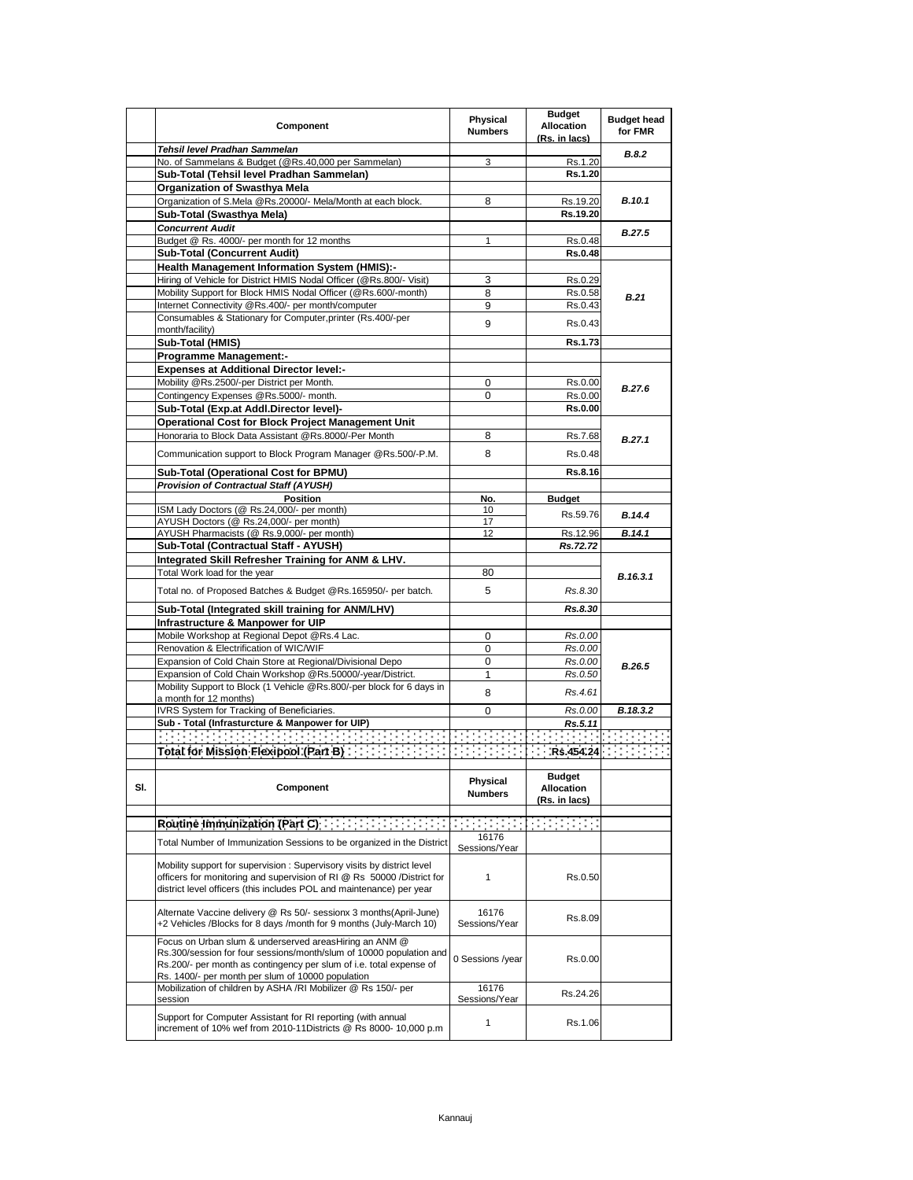|     | Component                                                                                                                                         | Physical<br><b>Numbers</b> | <b>Budget</b><br>Allocation<br>(Rs. in lacs) | <b>Budget head</b><br>for FMR |
|-----|---------------------------------------------------------------------------------------------------------------------------------------------------|----------------------------|----------------------------------------------|-------------------------------|
|     | Tehsil level Pradhan Sammelan                                                                                                                     |                            |                                              | <b>B.8.2</b>                  |
|     | No. of Sammelans & Budget (@Rs.40,000 per Sammelan)                                                                                               | 3                          | Rs.1.20<br>Rs.1.20                           |                               |
|     | Sub-Total (Tehsil level Pradhan Sammelan)<br>Organization of Swasthya Mela                                                                        |                            |                                              |                               |
|     | Organization of S.Mela @Rs.20000/- Mela/Month at each block.                                                                                      | 8                          | Rs.19.20                                     | B.10.1                        |
|     | Sub-Total (Swasthva Mela)                                                                                                                         |                            | Rs.19.20                                     |                               |
|     | <b>Concurrent Audit</b>                                                                                                                           |                            |                                              |                               |
|     | Budget @ Rs. 4000/- per month for 12 months                                                                                                       | 1                          | Rs.0.48                                      | <b>B.27.5</b>                 |
|     | <b>Sub-Total (Concurrent Audit)</b>                                                                                                               |                            | <b>Rs.0.48</b>                               |                               |
|     | <b>Health Management Information System (HMIS):-</b>                                                                                              |                            |                                              |                               |
|     | Hiring of Vehicle for District HMIS Nodal Officer (@Rs.800/- Visit)                                                                               | 3                          | Rs.0.29                                      |                               |
|     | Mobility Support for Block HMIS Nodal Officer (@Rs.600/-month)                                                                                    | 8                          | Rs.0.58                                      | B.21                          |
|     | Internet Connectivity @Rs.400/- per month/computer                                                                                                | 9                          | Rs.0.43                                      |                               |
|     | Consumables & Stationary for Computer, printer (Rs. 400/-per                                                                                      | 9                          | Rs.0.43                                      |                               |
|     | month/facility)                                                                                                                                   |                            |                                              |                               |
|     | Sub-Total (HMIS)                                                                                                                                  |                            | Rs.1.73                                      |                               |
|     | <b>Programme Management:-</b>                                                                                                                     |                            |                                              |                               |
|     | <b>Expenses at Additional Director level:-</b>                                                                                                    |                            |                                              |                               |
|     | Mobility @Rs.2500/-per District per Month.                                                                                                        | 0                          | Rs.0.00                                      | B.27.6                        |
|     | Contingency Expenses @Rs.5000/- month.<br>Sub-Total (Exp.at Addl.Director level)-                                                                 | 0                          | Rs.0.00<br><b>Rs.0.00</b>                    |                               |
|     | Operational Cost for Block Project Management Unit                                                                                                |                            |                                              |                               |
|     | Honoraria to Block Data Assistant @Rs.8000/-Per Month                                                                                             | 8                          | Rs.7.68                                      |                               |
|     |                                                                                                                                                   |                            |                                              | B.27.1                        |
|     | Communication support to Block Program Manager @Rs.500/-P.M.                                                                                      | 8                          | Rs.0.48                                      |                               |
|     | Sub-Total (Operational Cost for BPMU)                                                                                                             |                            | Rs.8.16                                      |                               |
|     | <b>Provision of Contractual Staff (AYUSH)</b>                                                                                                     |                            |                                              |                               |
|     | <b>Position</b>                                                                                                                                   | No.                        | <b>Budget</b>                                |                               |
|     | ISM Lady Doctors (@ Rs.24,000/- per month)                                                                                                        | 10                         | Rs.59.76                                     | B.14.4                        |
|     | AYUSH Doctors (@ Rs.24,000/- per month)                                                                                                           | 17<br>12                   | Rs.12.96                                     |                               |
|     | AYUSH Pharmacists (@ Rs.9,000/- per month)<br>Sub-Total (Contractual Staff - AYUSH)                                                               |                            | Rs.72.72                                     | B.14.1                        |
|     | Integrated Skill Refresher Training for ANM & LHV.                                                                                                |                            |                                              |                               |
|     | Total Work load for the year                                                                                                                      | 80                         |                                              |                               |
|     |                                                                                                                                                   |                            |                                              | B.16.3.1                      |
|     | Total no. of Proposed Batches & Budget @Rs.165950/- per batch.                                                                                    | 5                          | Rs.8.30                                      |                               |
|     | Sub-Total (Integrated skill training for ANM/LHV)                                                                                                 |                            | Rs.8.30                                      |                               |
|     | Infrastructure & Manpower for UIP                                                                                                                 |                            |                                              |                               |
|     | Mobile Workshop at Regional Depot @Rs.4 Lac.                                                                                                      | 0                          | Rs.0.00                                      |                               |
|     | Renovation & Electrification of WIC/WIF                                                                                                           | 0                          | Rs.0.00                                      |                               |
|     | Expansion of Cold Chain Store at Regional/Divisional Depo                                                                                         | 0                          | Rs.0.00                                      | B.26.5                        |
|     | Expansion of Cold Chain Workshop @Rs.50000/-year/District.                                                                                        | $\mathbf{1}$               | Rs.0.50                                      |                               |
|     | Mobility Support to Block (1 Vehicle @Rs.800/-per block for 6 days in<br>a month for 12 months)                                                   | 8                          | Rs.4.61                                      |                               |
|     | IVRS System for Tracking of Beneficiaries.                                                                                                        | 0                          | Rs.0.00                                      | B.18.3.2                      |
|     | Sub - Total (Infrasturcture & Manpower for UIP)                                                                                                   |                            | Rs.5.11                                      |                               |
|     | <u> Programment de la programment de la programment de la programment de la programment de la programment de la p</u>                             |                            |                                              |                               |
|     |                                                                                                                                                   |                            |                                              |                               |
|     |                                                                                                                                                   |                            |                                              |                               |
|     |                                                                                                                                                   | Physical                   | <b>Budget</b>                                |                               |
| SI. | Component                                                                                                                                         | <b>Numbers</b>             | Allocation                                   |                               |
|     |                                                                                                                                                   |                            | (Rs. in lacs)                                |                               |
|     |                                                                                                                                                   |                            |                                              |                               |
|     | Routine Immunization (Part C) [11] [11] [11] [11] [11]                                                                                            |                            |                                              |                               |
|     | Total Number of Immunization Sessions to be organized in the District                                                                             | 16176<br>Sessions/Year     |                                              |                               |
|     |                                                                                                                                                   |                            |                                              |                               |
|     | Mobility support for supervision: Supervisory visits by district level<br>officers for monitoring and supervision of RI @ Rs 50000 / District for | 1                          | Rs.0.50                                      |                               |
|     | district level officers (this includes POL and maintenance) per year                                                                              |                            |                                              |                               |
|     |                                                                                                                                                   |                            |                                              |                               |
|     | Alternate Vaccine delivery @ Rs 50/- sessionx 3 months(April-June)                                                                                | 16176                      |                                              |                               |
|     | +2 Vehicles /Blocks for 8 days /month for 9 months (July-March 10)                                                                                | Sessions/Year              | Rs.8.09                                      |                               |
|     | Focus on Urban slum & underserved areasHiring an ANM @                                                                                            |                            |                                              |                               |
|     | Rs.300/session for four sessions/month/slum of 10000 population and                                                                               | 0 Sessions /year           | Rs.0.00                                      |                               |
|     | Rs.200/- per month as contingency per slum of i.e. total expense of                                                                               |                            |                                              |                               |
|     | Rs. 1400/- per month per slum of 10000 population                                                                                                 |                            |                                              |                               |
|     | Mobilization of children by ASHA /RI Mobilizer @ Rs 150/- per                                                                                     | 16176<br>Sessions/Year     | Rs.24.26                                     |                               |
|     | session                                                                                                                                           |                            |                                              |                               |
|     | Support for Computer Assistant for RI reporting (with annual                                                                                      | $\mathbf{1}$               | Rs.1.06                                      |                               |
|     | increment of 10% wef from 2010-11Districts @ Rs 8000- 10,000 p.m                                                                                  |                            |                                              |                               |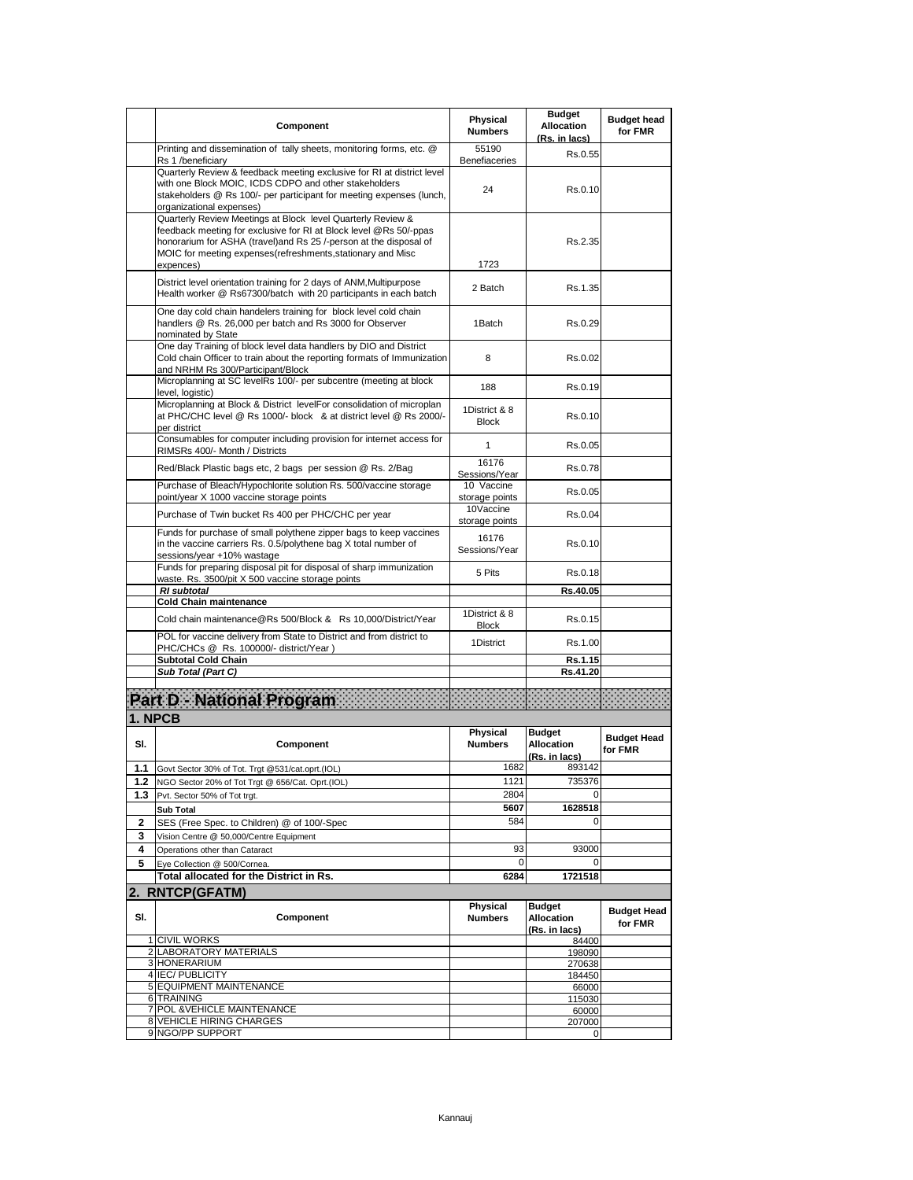|         | Component                                                                                                                                                                                                                                                                           | Physical<br><b>Numbers</b>    | <b>Budget</b><br><b>Allocation</b><br>(Rs. in lacs) | <b>Budget head</b><br>for FMR |
|---------|-------------------------------------------------------------------------------------------------------------------------------------------------------------------------------------------------------------------------------------------------------------------------------------|-------------------------------|-----------------------------------------------------|-------------------------------|
|         | Printing and dissemination of tally sheets, monitoring forms, etc. @<br>Rs 1 /beneficiary                                                                                                                                                                                           | 55190<br>Benefiaceries        | Rs.0.55                                             |                               |
|         | Quarterly Review & feedback meeting exclusive for RI at district level<br>with one Block MOIC, ICDS CDPO and other stakeholders<br>stakeholders @ Rs 100/- per participant for meeting expenses (lunch,<br>organizational expenses)                                                 | 24                            | Rs.0.10                                             |                               |
|         | Quarterly Review Meetings at Block level Quarterly Review &<br>feedback meeting for exclusive for RI at Block level @Rs 50/-ppas<br>honorarium for ASHA (travel) and Rs 25 /-person at the disposal of<br>MOIC for meeting expenses (refreshments, stationary and Misc<br>expences) | 1723                          | Rs.2.35                                             |                               |
|         | District level orientation training for 2 days of ANM, Multipurpose<br>Health worker @ Rs67300/batch with 20 participants in each batch                                                                                                                                             | 2 Batch                       | Rs.1.35                                             |                               |
|         | One day cold chain handelers training for block level cold chain<br>handlers @ Rs. 26,000 per batch and Rs 3000 for Observer<br>nominated by State                                                                                                                                  | 1Batch                        | Rs.0.29                                             |                               |
|         | One day Training of block level data handlers by DIO and District<br>Cold chain Officer to train about the reporting formats of Immunization<br>and NRHM Rs 300/Participant/Block                                                                                                   | 8                             | Rs.0.02                                             |                               |
|         | Microplanning at SC levelRs 100/- per subcentre (meeting at block<br>level, logistic)                                                                                                                                                                                               | 188                           | Rs.0.19                                             |                               |
|         | Microplanning at Block & District levelFor consolidation of microplan<br>at PHC/CHC level @ Rs 1000/- block & at district level @ Rs 2000/-<br>per district                                                                                                                         | 1District & 8<br><b>Block</b> | Rs.0.10                                             |                               |
|         | Consumables for computer including provision for internet access for<br>RIMSRs 400/- Month / Districts                                                                                                                                                                              | $\mathbf{1}$                  | Rs.0.05                                             |                               |
|         | Red/Black Plastic bags etc, 2 bags per session @ Rs. 2/Bag                                                                                                                                                                                                                          | 16176<br>Sessions/Year        | Rs.0.78                                             |                               |
|         | Purchase of Bleach/Hypochlorite solution Rs. 500/vaccine storage<br>point/year X 1000 vaccine storage points                                                                                                                                                                        | 10 Vaccine<br>storage points  | Rs.0.05                                             |                               |
|         | Purchase of Twin bucket Rs 400 per PHC/CHC per year                                                                                                                                                                                                                                 | 10Vaccine<br>storage points   | Rs.0.04                                             |                               |
|         | Funds for purchase of small polythene zipper bags to keep vaccines<br>in the vaccine carriers Rs. 0.5/polythene bag X total number of<br>sessions/year +10% wastage                                                                                                                 | 16176<br>Sessions/Year        | Rs.0.10                                             |                               |
|         | Funds for preparing disposal pit for disposal of sharp immunization<br>waste. Rs. 3500/pit X 500 vaccine storage points                                                                                                                                                             | 5 Pits                        | Rs.0.18                                             |                               |
|         | <b>RI</b> subtotal<br><b>Cold Chain maintenance</b>                                                                                                                                                                                                                                 |                               | Rs.40.05                                            |                               |
|         | Cold chain maintenance@Rs 500/Block & Rs 10,000/District/Year                                                                                                                                                                                                                       | 1District & 8                 | Rs.0.15                                             |                               |
|         | POL for vaccine delivery from State to District and from district to                                                                                                                                                                                                                | <b>Block</b><br>1District     | Rs.1.00                                             |                               |
|         | PHC/CHCs @ Rs. 100000/- district/Year)<br><b>Subtotal Cold Chain</b>                                                                                                                                                                                                                |                               | Rs.1.15                                             |                               |
|         | Sub Total (Part C)                                                                                                                                                                                                                                                                  |                               | Rs.41.20                                            |                               |
|         |                                                                                                                                                                                                                                                                                     |                               |                                                     |                               |
|         | <b>Part D - National Program</b>                                                                                                                                                                                                                                                    |                               |                                                     |                               |
| 1. NPCB |                                                                                                                                                                                                                                                                                     |                               |                                                     |                               |
| SI.     | Component                                                                                                                                                                                                                                                                           | Physical<br><b>Numbers</b>    | <b>Budget</b><br><b>Allocation</b><br>(Rs. in lacs) | <b>Budget Head</b><br>for FMR |
| 1.1     | Govt Sector 30% of Tot. Trgt @531/cat.oprt.(IOL)                                                                                                                                                                                                                                    | 1682                          | 893142                                              |                               |
| 1.2     | NGO Sector 20% of Tot Trgt @ 656/Cat. Oprt.(IOL)                                                                                                                                                                                                                                    | 1121                          | 735376                                              |                               |
| 1.3     | Pvt. Sector 50% of Tot trgt.                                                                                                                                                                                                                                                        | 2804<br>5607                  | 0<br>1628518                                        |                               |
| 2       | <b>Sub Total</b><br>SES (Free Spec. to Children) @ of 100/-Spec                                                                                                                                                                                                                     | 584                           | 0                                                   |                               |
| 3       | Vision Centre @ 50,000/Centre Equipment                                                                                                                                                                                                                                             |                               |                                                     |                               |
| 4       | Operations other than Cataract                                                                                                                                                                                                                                                      | 93                            | 93000                                               |                               |
| 5       | Eye Collection @ 500/Cornea.                                                                                                                                                                                                                                                        | 0                             | 0                                                   |                               |
|         | Total allocated for the District in Rs.                                                                                                                                                                                                                                             | 6284                          | 1721518                                             |                               |
|         | 2. RNTCP(GFATM)                                                                                                                                                                                                                                                                     |                               |                                                     |                               |
| SI.     | Component                                                                                                                                                                                                                                                                           | Physical<br><b>Numbers</b>    | <b>Budget</b><br><b>Allocation</b><br>(Rs. in lacs) | <b>Budget Head</b><br>for FMR |
|         | 1 CIVIL WORKS                                                                                                                                                                                                                                                                       |                               | 84400                                               |                               |
|         | 2 LABORATORY MATERIALS<br>3 HONERARIUM                                                                                                                                                                                                                                              |                               | 198090<br>270638                                    |                               |
|         | 4 IEC/ PUBLICITY                                                                                                                                                                                                                                                                    |                               | 184450                                              |                               |
|         | 5 EQUIPMENT MAINTENANCE                                                                                                                                                                                                                                                             |                               | 66000                                               |                               |
|         | 6 TRAINING<br>7 POL & VEHICLE MAINTENANCE                                                                                                                                                                                                                                           |                               | 115030<br>60000                                     |                               |
|         | <b>8 VEHICLE HIRING CHARGES</b>                                                                                                                                                                                                                                                     |                               | 207000                                              |                               |
|         | 9 NGO/PP SUPPORT                                                                                                                                                                                                                                                                    |                               | 0                                                   |                               |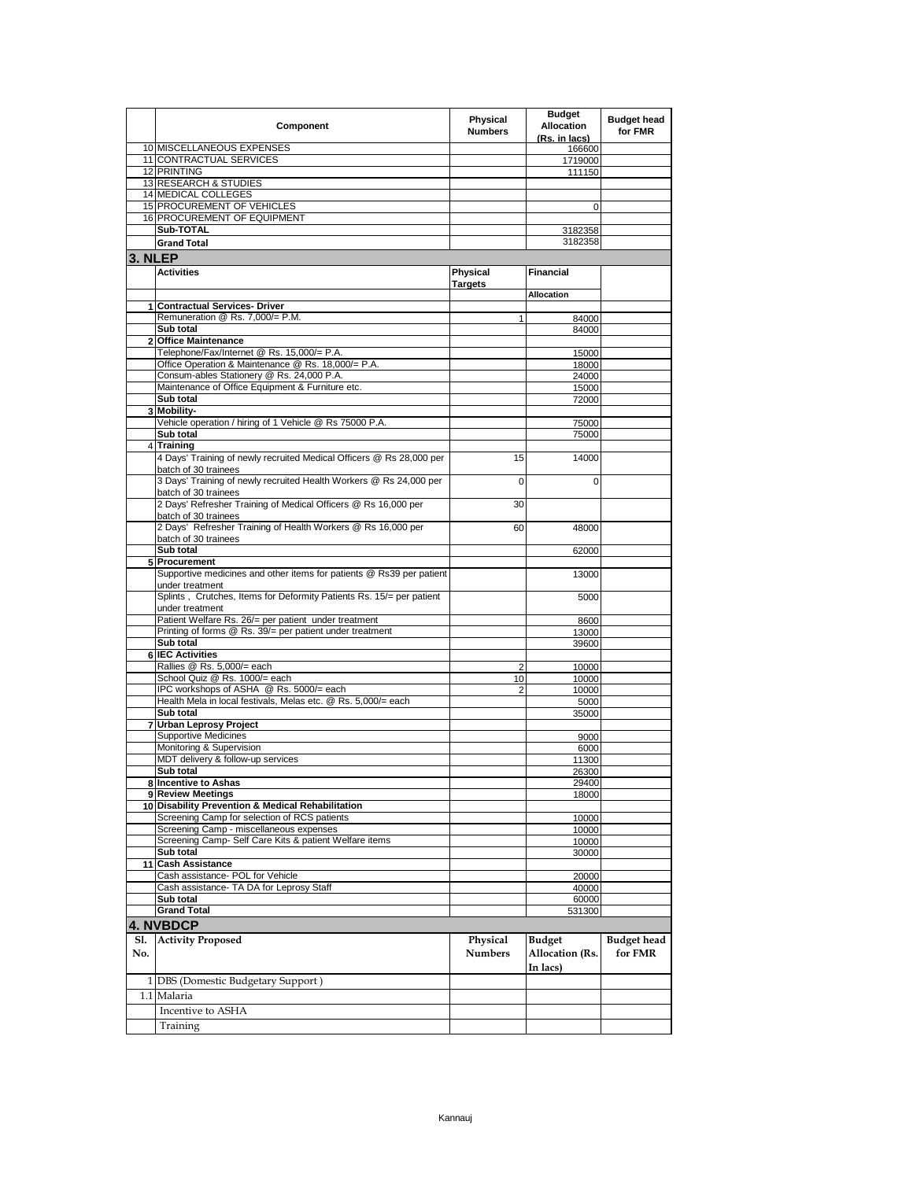|         | Component                                                                               | Physical<br><b>Numbers</b> | <b>Budget</b><br><b>Allocation</b><br>(Rs. in lacs) | <b>Budget head</b><br>for FMR |
|---------|-----------------------------------------------------------------------------------------|----------------------------|-----------------------------------------------------|-------------------------------|
|         | 10 MISCELLANEOUS EXPENSES                                                               |                            | 166600                                              |                               |
|         | 11 CONTRACTUAL SERVICES                                                                 |                            | 1719000                                             |                               |
|         | 12 PRINTING                                                                             |                            | 111150                                              |                               |
|         | 13 RESEARCH & STUDIES                                                                   |                            |                                                     |                               |
|         | 14 MEDICAL COLLEGES<br><b>15 PROCUREMENT OF VEHICLES</b>                                |                            |                                                     |                               |
|         | <b>16 PROCUREMENT OF EQUIPMENT</b>                                                      |                            | 0                                                   |                               |
|         | Sub-TOTAL                                                                               |                            |                                                     |                               |
|         |                                                                                         |                            | 3182358<br>3182358                                  |                               |
|         | <b>Grand Total</b>                                                                      |                            |                                                     |                               |
| 3. NLEP |                                                                                         |                            |                                                     |                               |
|         | <b>Activities</b>                                                                       | <b>Physical</b>            | <b>Financial</b>                                    |                               |
|         |                                                                                         | <b>Targets</b>             |                                                     |                               |
|         |                                                                                         |                            | <b>Allocation</b>                                   |                               |
|         | 1 Contractual Services- Driver                                                          |                            |                                                     |                               |
|         | Remuneration @ Rs. 7,000/= P.M.                                                         | 1                          | 84000                                               |                               |
|         | Sub total                                                                               |                            | 84000                                               |                               |
|         | 2 Office Maintenance                                                                    |                            |                                                     |                               |
|         | Telephone/Fax/Internet @ Rs. 15,000/= P.A.                                              |                            | 15000                                               |                               |
|         | Office Operation & Maintenance @ Rs. 18,000/= P.A.                                      |                            | 18000                                               |                               |
|         | Consum-ables Stationery @ Rs. 24,000 P.A.                                               |                            | 24000                                               |                               |
|         | Maintenance of Office Equipment & Furniture etc.                                        |                            | 15000                                               |                               |
|         | Sub total                                                                               |                            | 72000                                               |                               |
|         | 3 Mobility-                                                                             |                            |                                                     |                               |
|         | Vehicle operation / hiring of 1 Vehicle @ Rs 75000 P.A.                                 |                            | 75000                                               |                               |
|         | Sub total                                                                               |                            | 75000                                               |                               |
|         | 4 Training                                                                              |                            |                                                     |                               |
|         | 4 Days' Training of newly recruited Medical Officers @ Rs 28,000 per                    | 15                         | 14000                                               |                               |
|         | batch of 30 trainees                                                                    |                            |                                                     |                               |
|         | 3 Days' Training of newly recruited Health Workers @ Rs 24,000 per                      | 0                          | 0                                                   |                               |
|         | batch of 30 trainees                                                                    |                            |                                                     |                               |
|         | 2 Days' Refresher Training of Medical Officers @ Rs 16,000 per                          | 30                         |                                                     |                               |
|         | batch of 30 trainees                                                                    |                            |                                                     |                               |
|         | 2 Days' Refresher Training of Health Workers @ Rs 16,000 per                            | 60                         | 48000                                               |                               |
|         | batch of 30 trainees                                                                    |                            |                                                     |                               |
|         | Sub total                                                                               |                            | 62000                                               |                               |
|         | 5 Procurement                                                                           |                            |                                                     |                               |
|         | Supportive medicines and other items for patients @ Rs39 per patient                    |                            | 13000                                               |                               |
|         |                                                                                         |                            |                                                     |                               |
|         | under treatment<br>Splints, Crutches, Items for Deformity Patients Rs. 15/= per patient |                            |                                                     |                               |
|         | under treatment                                                                         |                            | 5000                                                |                               |
|         | Patient Welfare Rs. 26/= per patient under treatment                                    |                            |                                                     |                               |
|         | Printing of forms @ Rs. 39/= per patient under treatment                                |                            | 8600                                                |                               |
|         | Sub total                                                                               |                            | 13000                                               |                               |
|         | <b>6 IEC Activities</b>                                                                 |                            | 39600                                               |                               |
|         | Rallies @ Rs. 5,000/= each                                                              |                            | 10000                                               |                               |
|         | School Quiz @ Rs. 1000/= each                                                           | 2                          |                                                     |                               |
|         | IPC workshops of ASHA @ Rs. 5000/= each                                                 | 10                         | 10000                                               |                               |
|         | Health Mela in local festivals, Melas etc. @ Rs. 5,000/= each                           | $\overline{2}$             | 10000                                               |                               |
|         |                                                                                         |                            | 5000                                                |                               |
|         | Sub total                                                                               |                            | 35000                                               |                               |
|         | 7 Urban Leprosy Project                                                                 |                            |                                                     |                               |
|         | <b>Supportive Medicines</b><br>Monitoring & Supervision                                 |                            | 9000                                                |                               |
|         | MDT delivery & follow-up services                                                       |                            | 6000                                                |                               |
|         |                                                                                         |                            | 11300                                               |                               |
|         | Sub total                                                                               |                            | 26300                                               |                               |
|         | 8 Incentive to Ashas                                                                    |                            | 29400                                               |                               |
|         | 9 Review Meetings                                                                       |                            | 18000                                               |                               |
|         | 10 Disability Prevention & Medical Rehabilitation                                       |                            |                                                     |                               |
|         | Screening Camp for selection of RCS patients                                            |                            | 10000                                               |                               |
|         | Screening Camp - miscellaneous expenses                                                 |                            | 10000                                               |                               |
|         | Screening Camp- Self Care Kits & patient Welfare items                                  |                            | 10000                                               |                               |
|         | Sub total                                                                               |                            | 30000                                               |                               |
|         | 11 Cash Assistance                                                                      |                            |                                                     |                               |
|         | Cash assistance- POL for Vehicle                                                        |                            | 20000                                               |                               |
|         | Cash assistance- TA DA for Leprosy Staff                                                |                            | 40000                                               |                               |
|         | Sub total                                                                               |                            | 60000                                               |                               |
|         | <b>Grand Total</b>                                                                      |                            | 531300                                              |                               |
|         | 4. NVBDCP                                                                               |                            |                                                     |                               |
| Sl.     | <b>Activity Proposed</b>                                                                | Physical                   | <b>Budget</b>                                       | <b>Budget</b> head            |
| No.     |                                                                                         | <b>Numbers</b>             | Allocation (Rs.                                     | for FMR                       |
|         |                                                                                         |                            |                                                     |                               |
|         |                                                                                         |                            | In lacs)                                            |                               |
|         | 1 DBS (Domestic Budgetary Support)                                                      |                            |                                                     |                               |
|         | 1.1 Malaria                                                                             |                            |                                                     |                               |
|         | Incentive to ASHA                                                                       |                            |                                                     |                               |
|         |                                                                                         |                            |                                                     |                               |
|         | Training                                                                                |                            |                                                     |                               |